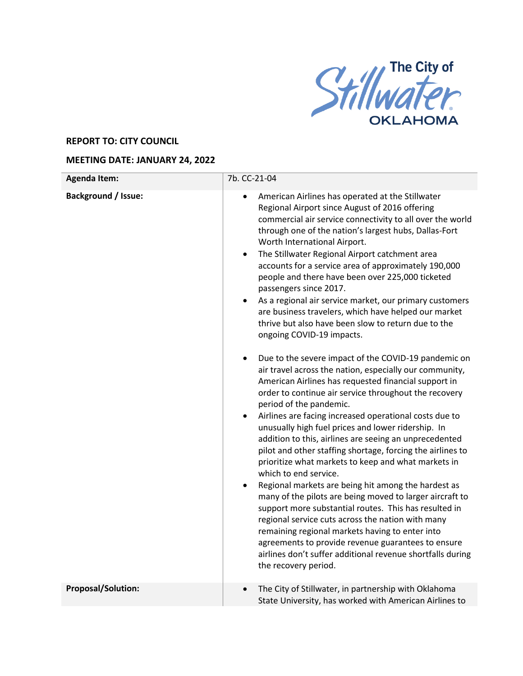

## **REPORT TO: CITY COUNCIL**

## **MEETING DATE: JANUARY 24, 2022**

| <b>Agenda Item:</b>        | 7b. CC-21-04                                                                                                                                                                                                                                                                                                                                                                                                                                                                                                                                                                                                                                                                                                                                                                                                                                                                                                                                                                                                                                                                                                                                                                                                                                                                                                                                                                                                                                                                                                                                                                                                                                                                                                                            |
|----------------------------|-----------------------------------------------------------------------------------------------------------------------------------------------------------------------------------------------------------------------------------------------------------------------------------------------------------------------------------------------------------------------------------------------------------------------------------------------------------------------------------------------------------------------------------------------------------------------------------------------------------------------------------------------------------------------------------------------------------------------------------------------------------------------------------------------------------------------------------------------------------------------------------------------------------------------------------------------------------------------------------------------------------------------------------------------------------------------------------------------------------------------------------------------------------------------------------------------------------------------------------------------------------------------------------------------------------------------------------------------------------------------------------------------------------------------------------------------------------------------------------------------------------------------------------------------------------------------------------------------------------------------------------------------------------------------------------------------------------------------------------------|
| <b>Background / Issue:</b> | American Airlines has operated at the Stillwater<br>$\bullet$<br>Regional Airport since August of 2016 offering<br>commercial air service connectivity to all over the world<br>through one of the nation's largest hubs, Dallas-Fort<br>Worth International Airport.<br>The Stillwater Regional Airport catchment area<br>٠<br>accounts for a service area of approximately 190,000<br>people and there have been over 225,000 ticketed<br>passengers since 2017.<br>As a regional air service market, our primary customers<br>$\bullet$<br>are business travelers, which have helped our market<br>thrive but also have been slow to return due to the<br>ongoing COVID-19 impacts.<br>Due to the severe impact of the COVID-19 pandemic on<br>$\bullet$<br>air travel across the nation, especially our community,<br>American Airlines has requested financial support in<br>order to continue air service throughout the recovery<br>period of the pandemic.<br>Airlines are facing increased operational costs due to<br>$\bullet$<br>unusually high fuel prices and lower ridership. In<br>addition to this, airlines are seeing an unprecedented<br>pilot and other staffing shortage, forcing the airlines to<br>prioritize what markets to keep and what markets in<br>which to end service.<br>Regional markets are being hit among the hardest as<br>many of the pilots are being moved to larger aircraft to<br>support more substantial routes. This has resulted in<br>regional service cuts across the nation with many<br>remaining regional markets having to enter into<br>agreements to provide revenue guarantees to ensure<br>airlines don't suffer additional revenue shortfalls during<br>the recovery period. |
| Proposal/Solution:         | The City of Stillwater, in partnership with Oklahoma                                                                                                                                                                                                                                                                                                                                                                                                                                                                                                                                                                                                                                                                                                                                                                                                                                                                                                                                                                                                                                                                                                                                                                                                                                                                                                                                                                                                                                                                                                                                                                                                                                                                                    |
|                            | State University, has worked with American Airlines to                                                                                                                                                                                                                                                                                                                                                                                                                                                                                                                                                                                                                                                                                                                                                                                                                                                                                                                                                                                                                                                                                                                                                                                                                                                                                                                                                                                                                                                                                                                                                                                                                                                                                  |